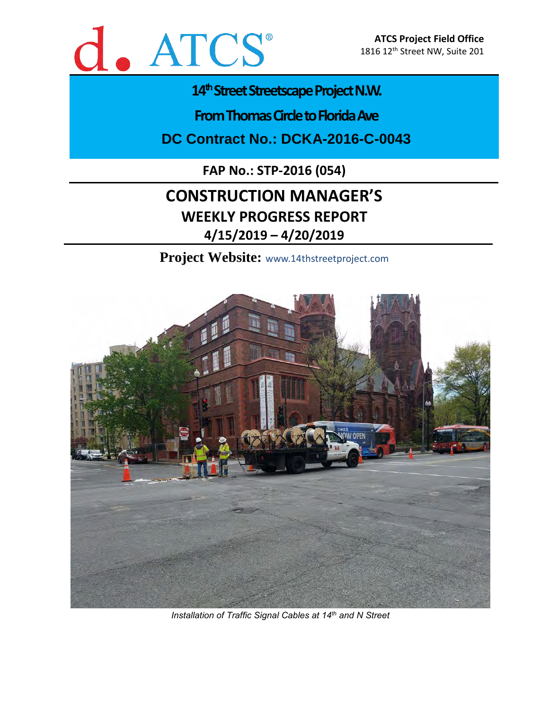

# 14<sup>th</sup> Street Streetscape Project N.W.

**From Thomas Circle to Florida Ave** 

**DC Contract No.: DCKA-2016-C-0043**

**FAP No.: STP-2016 (054)**

# **CONSTRUCTION MANAGER'S WEEKLY PROGRESS REPORT 4/15/2019 – 4/20/2019**

**Project Website:** www.14thstreetproject.com



*Installation of Traffic Signal Cables at 14th and N Street*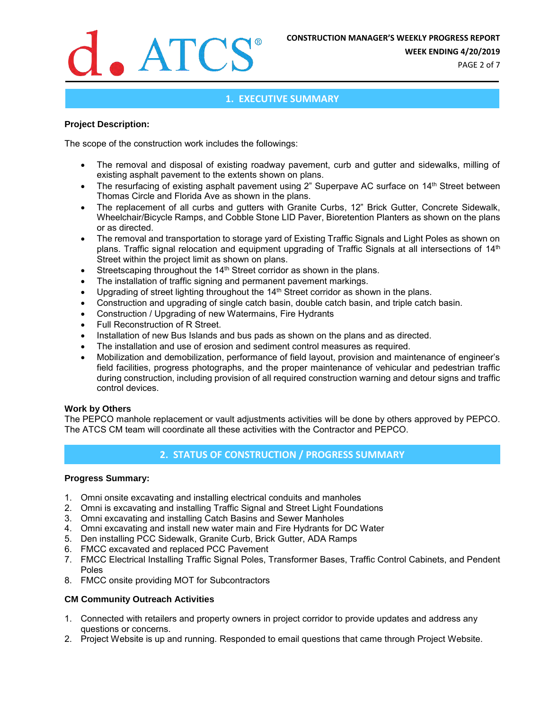

**WEEK ENDING 4/20/2019**

PAGE 2 of 7

# **1. EXECUTIVE SUMMARY**

## **Project Description:**

The scope of the construction work includes the followings:

- The removal and disposal of existing roadway pavement, curb and gutter and sidewalks, milling of existing asphalt pavement to the extents shown on plans.
- The resurfacing of existing asphalt pavement using 2" Superpave AC surface on 14<sup>th</sup> Street between Thomas Circle and Florida Ave as shown in the plans.
- The replacement of all curbs and gutters with Granite Curbs, 12" Brick Gutter, Concrete Sidewalk, Wheelchair/Bicycle Ramps, and Cobble Stone LID Paver, Bioretention Planters as shown on the plans or as directed.
- The removal and transportation to storage yard of Existing Traffic Signals and Light Poles as shown on plans. Traffic signal relocation and equipment upgrading of Traffic Signals at all intersections of 14<sup>th</sup> Street within the project limit as shown on plans.
- Streetscaping throughout the 14<sup>th</sup> Street corridor as shown in the plans.
- The installation of traffic signing and permanent pavement markings.
- Upgrading of street lighting throughout the 14<sup>th</sup> Street corridor as shown in the plans.
- Construction and upgrading of single catch basin, double catch basin, and triple catch basin.
- Construction / Upgrading of new Watermains, Fire Hydrants
- Full Reconstruction of R Street.
- Installation of new Bus Islands and bus pads as shown on the plans and as directed.
- The installation and use of erosion and sediment control measures as required.
- Mobilization and demobilization, performance of field layout, provision and maintenance of engineer's field facilities, progress photographs, and the proper maintenance of vehicular and pedestrian traffic during construction, including provision of all required construction warning and detour signs and traffic control devices.

### **Work by Others**

The PEPCO manhole replacement or vault adjustments activities will be done by others approved by PEPCO. The ATCS CM team will coordinate all these activities with the Contractor and PEPCO.

# **2. STATUS OF CONSTRUCTION / PROGRESS SUMMARY**

### **Progress Summary:**

- 1. Omni onsite excavating and installing electrical conduits and manholes
- 2. Omni is excavating and installing Traffic Signal and Street Light Foundations
- 3. Omni excavating and installing Catch Basins and Sewer Manholes
- 4. Omni excavating and install new water main and Fire Hydrants for DC Water
- 5. Den installing PCC Sidewalk, Granite Curb, Brick Gutter, ADA Ramps
- 6. FMCC excavated and replaced PCC Pavement
- 7. FMCC Electrical Installing Traffic Signal Poles, Transformer Bases, Traffic Control Cabinets, and Pendent Poles
- 8. FMCC onsite providing MOT for Subcontractors

### **CM Community Outreach Activities**

- 1. Connected with retailers and property owners in project corridor to provide updates and address any questions or concerns.
- 2. Project Website is up and running. Responded to email questions that came through Project Website.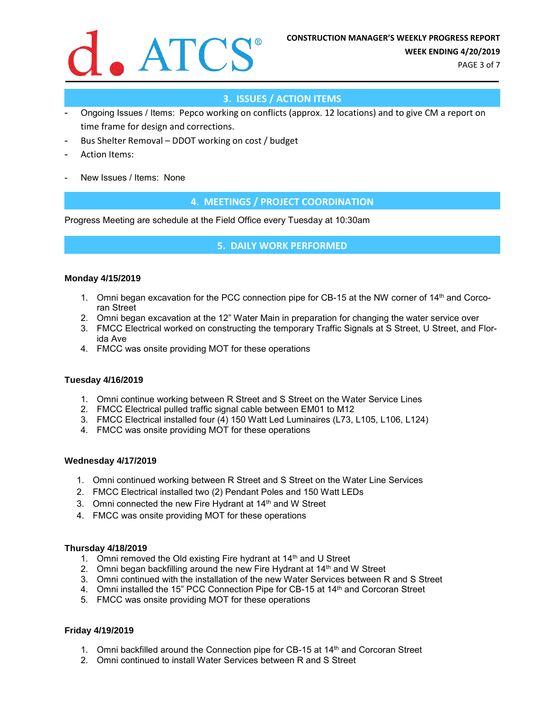

PAGE 3 of 7

# **3. ISSUES / ACTION ITEMS**

- Ongoing Issues / Items: Pepco working on conflicts (approx. 12 locations) and to give CM a report on time frame for design and corrections.
- Bus Shelter Removal DDOT working on cost / budget
- Action Items:
- New Issues / Items: None

# **4. MEETINGS / PROJECT COORDINATION**

Progress Meeting are schedule at the Field Office every Tuesday at 10:30am

# **5. DAILY WORK PERFORMED**

### **Monday 4/15/2019**

- 1. Omni began excavation for the PCC connection pipe for CB-15 at the NW corner of 14<sup>th</sup> and Corcoran Street
- 2. Omni began excavation at the 12" Water Main in preparation for changing the water service over
- 3. FMCC Electrical worked on constructing the temporary Traffic Signals at S Street, U Street, and Florida Ave
- 4. FMCC was onsite providing MOT for these operations

## **Tuesday 4/16/2019**

- 1. Omni continue working between R Street and S Street on the Water Service Lines
- 2. FMCC Electrical pulled traffic signal cable between EM01 to M12
- 3. FMCC Electrical installed four (4) 150 Watt Led Luminaires (L73, L105, L106, L124)
- 4. FMCC was onsite providing MOT for these operations

### **Wednesday 4/17/2019**

- 1. Omni continued working between R Street and S Street on the Water Line Services
- 2. FMCC Electrical installed two (2) Pendant Poles and 150 Watt LEDs
- 3. Omni connected the new Fire Hydrant at 14<sup>th</sup> and W Street
- 4. FMCC was onsite providing MOT for these operations

### **Thursday 4/18/2019**

- 1. Omni removed the Old existing Fire hydrant at 14<sup>th</sup> and U Street
- 2. Omni began backfilling around the new Fire Hydrant at  $14<sup>th</sup>$  and W Street
- 3. Omni continued with the installation of the new Water Services between R and S Street
- 4. Omni installed the 15" PCC Connection Pipe for CB-15 at 14th and Corcoran Street
- 5. FMCC was onsite providing MOT for these operations

# **Friday 4/19/2019**

- 1. Omni backfilled around the Connection pipe for CB-15 at 14th and Corcoran Street
- 2. Omni continued to install Water Services between R and S Street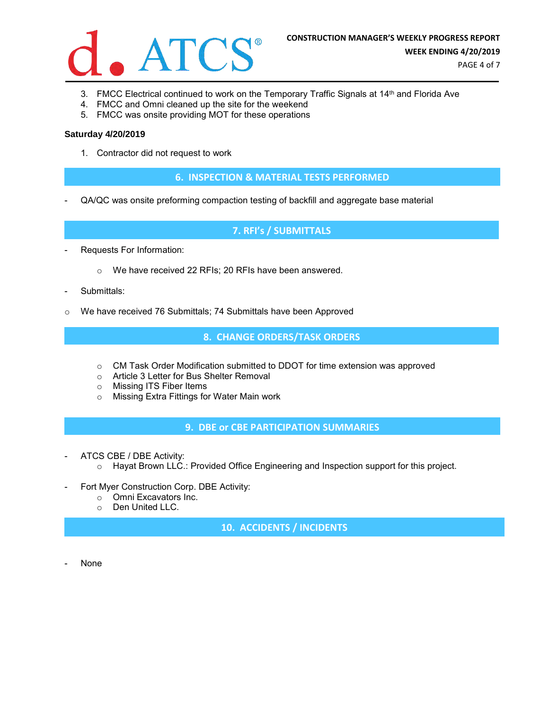

- 3. FMCC Electrical continued to work on the Temporary Traffic Signals at 14<sup>th</sup> and Florida Ave
- 4. FMCC and Omni cleaned up the site for the weekend
- 5. FMCC was onsite providing MOT for these operations

### **Saturday 4/20/2019**

1. Contractor did not request to work

**6. INSPECTION & MATERIAL TESTS PERFORMED**

- QA/QC was onsite preforming compaction testing of backfill and aggregate base material

**7. RFI's / SUBMITTALS**

- Requests For Information:
	- o We have received 22 RFIs; 20 RFIs have been answered.
- Submittals:
- o We have received 76 Submittals; 74 Submittals have been Approved

**8. CHANGE ORDERS/TASK ORDERS**

- o CM Task Order Modification submitted to DDOT for time extension was approved
- o Article 3 Letter for Bus Shelter Removal
- o Missing ITS Fiber Items
- o Missing Extra Fittings for Water Main work

**9. DBE or CBE PARTICIPATION SUMMARIES**

- ATCS CBE / DBE Activity:
	- o Hayat Brown LLC.: Provided Office Engineering and Inspection support for this project.
- Fort Myer Construction Corp. DBE Activity:
	- o Omni Excavators Inc.
	- o Den United LLC.

**10. ACCIDENTS / INCIDENTS**

None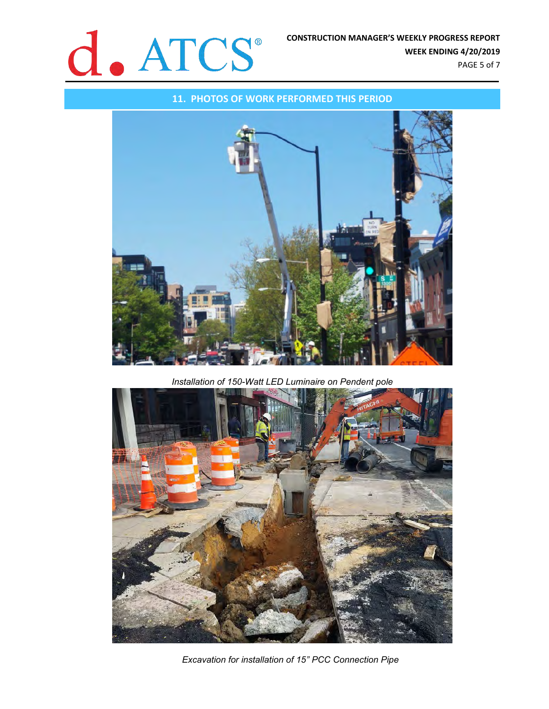

### **11. PHOTOS OF WORK PERFORMED THIS PERIOD**



*Installation of 150-Watt LED Luminaire on Pendent pole*



*Excavation for installation of 15" PCC Connection Pipe*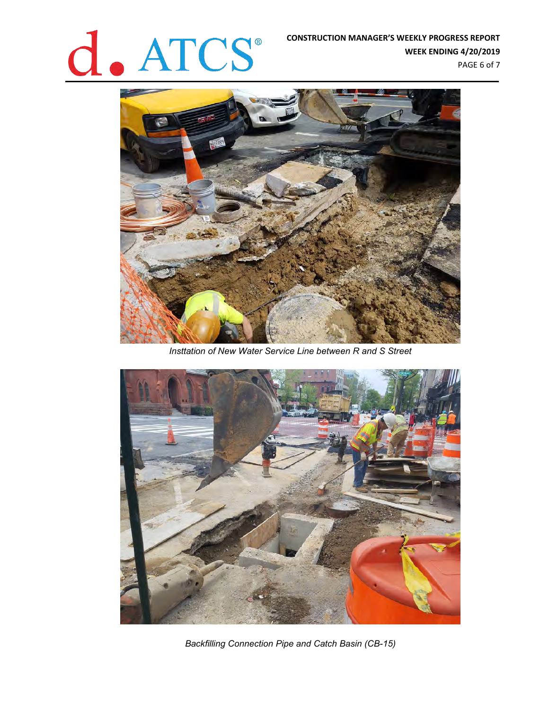# **CONSTRUCTION MANAGER'S WEEKLY PROGRESS REPORT<br>WEEK ENDING 4/20/2019**<br>PAGE 6 of 7

**WEEK ENDING 4/20/2019** PAGE 6 of 7



*Insttation of New Water Service Line between R and S Street*



*Backfilling Connection Pipe and Catch Basin (CB-15)*